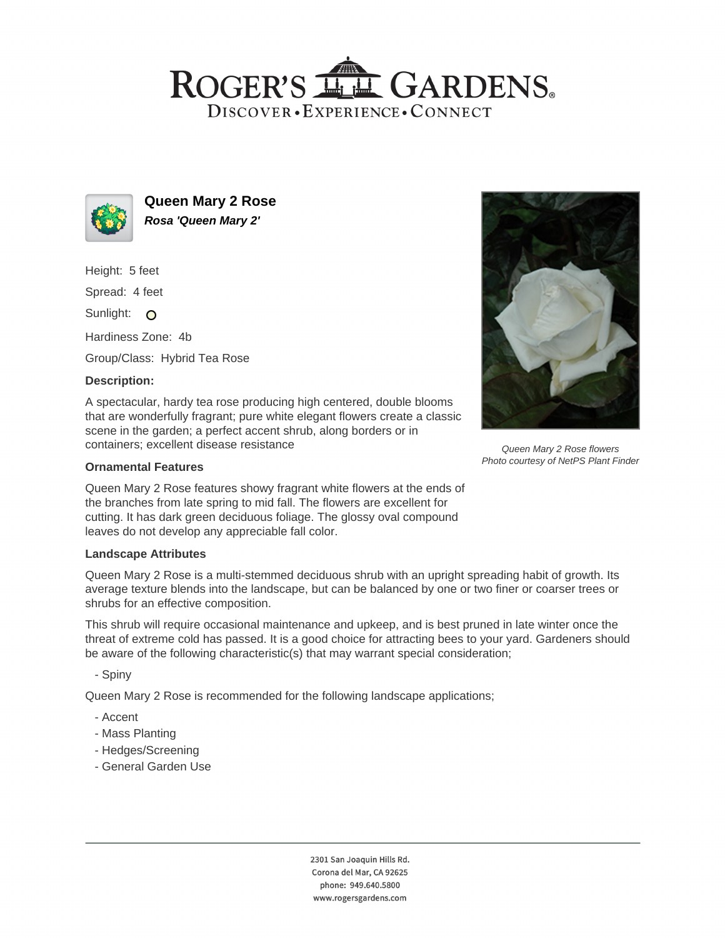# ROGER'S LL GARDENS. DISCOVER · EXPERIENCE · CONNECT



**Queen Mary 2 Rose Rosa 'Queen Mary 2'**

Height: 5 feet

Spread: 4 feet

Sunlight: O

Hardiness Zone: 4b

Group/Class: Hybrid Tea Rose

# **Description:**

A spectacular, hardy tea rose producing high centered, double blooms that are wonderfully fragrant; pure white elegant flowers create a classic scene in the garden; a perfect accent shrub, along borders or in containers; excellent disease resistance

### **Ornamental Features**

Queen Mary 2 Rose features showy fragrant white flowers at the ends of the branches from late spring to mid fall. The flowers are excellent for cutting. It has dark green deciduous foliage. The glossy oval compound leaves do not develop any appreciable fall color.

#### **Landscape Attributes**

Queen Mary 2 Rose is a multi-stemmed deciduous shrub with an upright spreading habit of growth. Its average texture blends into the landscape, but can be balanced by one or two finer or coarser trees or shrubs for an effective composition.

This shrub will require occasional maintenance and upkeep, and is best pruned in late winter once the threat of extreme cold has passed. It is a good choice for attracting bees to your yard. Gardeners should be aware of the following characteristic(s) that may warrant special consideration;

- Spiny

Queen Mary 2 Rose is recommended for the following landscape applications;

- Accent
- Mass Planting
- Hedges/Screening
- General Garden Use

2301 San Joaquin Hills Rd. Corona del Mar, CA 92625 phone: 949.640.5800 www.rogersgardens.com



Queen Mary 2 Rose flowers Photo courtesy of NetPS Plant Finder